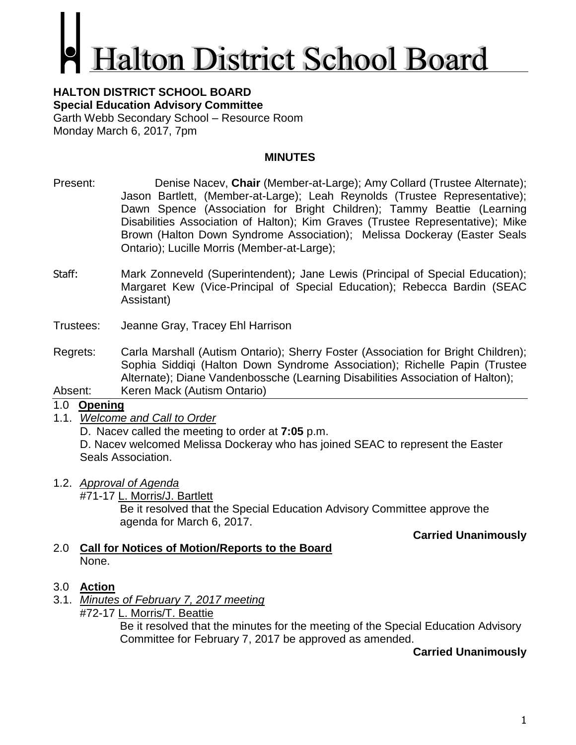# **alton District School Board**

#### **HALTON DISTRICT SCHOOL BOARD Special Education Advisory Committee** Garth Webb Secondary School – Resource Room Monday March 6, 2017, 7pm

## **MINUTES**

- Present: Denise Nacev, **Chair** (Member-at-Large); Amy Collard (Trustee Alternate); Jason Bartlett, (Member-at-Large); Leah Reynolds (Trustee Representative); Dawn Spence (Association for Bright Children); Tammy Beattie (Learning Disabilities Association of Halton); Kim Graves (Trustee Representative); Mike Brown (Halton Down Syndrome Association); Melissa Dockeray (Easter Seals Ontario); Lucille Morris (Member-at-Large);
- Staff: Mark Zonneveld (Superintendent); Jane Lewis (Principal of Special Education); Margaret Kew (Vice-Principal of Special Education); Rebecca Bardin (SEAC Assistant)
- Trustees: Jeanne Gray, Tracey Ehl Harrison
- Regrets: Carla Marshall (Autism Ontario); Sherry Foster (Association for Bright Children); Sophia Siddiqi (Halton Down Syndrome Association); Richelle Papin (Trustee Alternate); Diane Vandenbossche (Learning Disabilities Association of Halton);
- Absent: Keren Mack (Autism Ontario)

### 1.0 **Opening**

1.1. *Welcome and Call to Order*

D. Nacev called the meeting to order at **7:05** p.m.

D. Nacev welcomed Melissa Dockeray who has joined SEAC to represent the Easter Seals Association.

- 1.2. *Approval of Agenda*
	- #71-17 L. Morris/J. Bartlett

Be it resolved that the Special Education Advisory Committee approve the agenda for March 6, 2017.

#### **Carried Unanimously**

- 2.0 **Call for Notices of Motion/Reports to the Board** None.
- 3.0 **Action**
- 3.1. *Minutes of February 7, 2017 meeting* #72-17 L. Morris/T. Beattie

Be it resolved that the minutes for the meeting of the Special Education Advisory Committee for February 7, 2017 be approved as amended.

### **Carried Unanimously**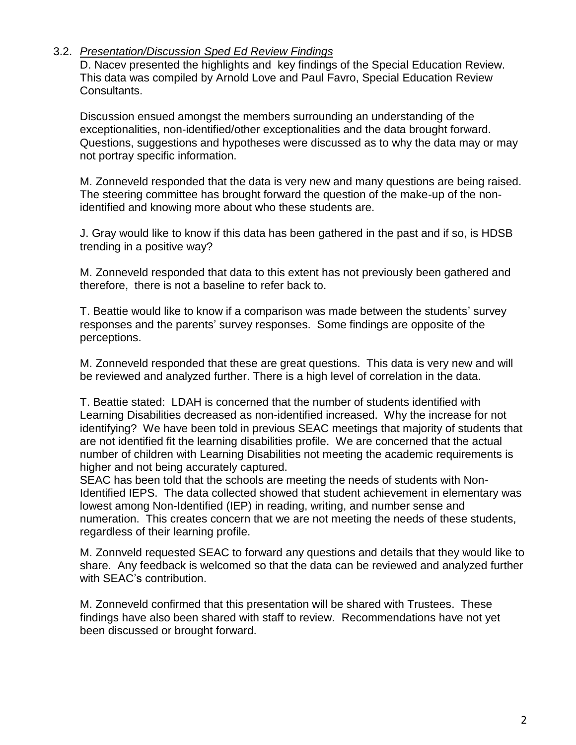#### 3.2. *Presentation/Discussion Sped Ed Review Findings*

D. Nacev presented the highlights and key findings of the Special Education Review. This data was compiled by Arnold Love and Paul Favro, Special Education Review Consultants.

Discussion ensued amongst the members surrounding an understanding of the exceptionalities, non-identified/other exceptionalities and the data brought forward. Questions, suggestions and hypotheses were discussed as to why the data may or may not portray specific information.

M. Zonneveld responded that the data is very new and many questions are being raised. The steering committee has brought forward the question of the make-up of the nonidentified and knowing more about who these students are.

J. Gray would like to know if this data has been gathered in the past and if so, is HDSB trending in a positive way?

M. Zonneveld responded that data to this extent has not previously been gathered and therefore, there is not a baseline to refer back to.

T. Beattie would like to know if a comparison was made between the students' survey responses and the parents' survey responses. Some findings are opposite of the perceptions.

M. Zonneveld responded that these are great questions. This data is very new and will be reviewed and analyzed further. There is a high level of correlation in the data.

T. Beattie stated: LDAH is concerned that the number of students identified with Learning Disabilities decreased as non-identified increased. Why the increase for not identifying? We have been told in previous SEAC meetings that majority of students that are not identified fit the learning disabilities profile. We are concerned that the actual number of children with Learning Disabilities not meeting the academic requirements is higher and not being accurately captured.

SEAC has been told that the schools are meeting the needs of students with Non-Identified IEPS. The data collected showed that student achievement in elementary was lowest among Non-Identified (IEP) in reading, writing, and number sense and numeration. This creates concern that we are not meeting the needs of these students, regardless of their learning profile.

M. Zonnveld requested SEAC to forward any questions and details that they would like to share. Any feedback is welcomed so that the data can be reviewed and analyzed further with SEAC's contribution.

M. Zonneveld confirmed that this presentation will be shared with Trustees. These findings have also been shared with staff to review. Recommendations have not yet been discussed or brought forward.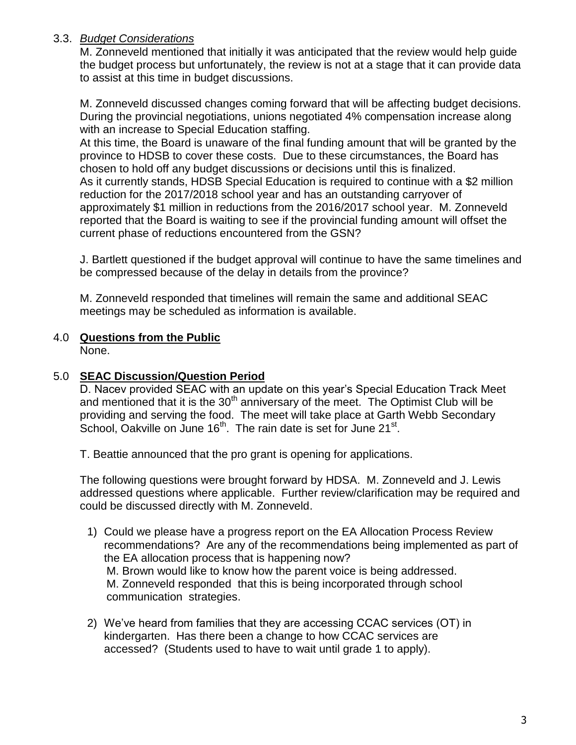# 3.3. *Budget Considerations*

M. Zonneveld mentioned that initially it was anticipated that the review would help guide the budget process but unfortunately, the review is not at a stage that it can provide data to assist at this time in budget discussions.

M. Zonneveld discussed changes coming forward that will be affecting budget decisions. During the provincial negotiations, unions negotiated 4% compensation increase along with an increase to Special Education staffing.

At this time, the Board is unaware of the final funding amount that will be granted by the province to HDSB to cover these costs. Due to these circumstances, the Board has chosen to hold off any budget discussions or decisions until this is finalized. As it currently stands, HDSB Special Education is required to continue with a \$2 million reduction for the 2017/2018 school year and has an outstanding carryover of approximately \$1 million in reductions from the 2016/2017 school year. M. Zonneveld reported that the Board is waiting to see if the provincial funding amount will offset the current phase of reductions encountered from the GSN?

J. Bartlett questioned if the budget approval will continue to have the same timelines and be compressed because of the delay in details from the province?

M. Zonneveld responded that timelines will remain the same and additional SEAC meetings may be scheduled as information is available.

## 4.0 **Questions from the Public**

None.

## 5.0 **SEAC Discussion/Question Period**

D. Nacev provided SEAC with an update on this year's Special Education Track Meet and mentioned that it is the  $30<sup>th</sup>$  anniversary of the meet. The Optimist Club will be providing and serving the food. The meet will take place at Garth Webb Secondary School, Oakville on June  $16<sup>th</sup>$ . The rain date is set for June 21<sup>st</sup>.

T. Beattie announced that the pro grant is opening for applications.

The following questions were brought forward by HDSA. M. Zonneveld and J. Lewis addressed questions where applicable. Further review/clarification may be required and could be discussed directly with M. Zonneveld.

- 1) Could we please have a progress report on the EA Allocation Process Review recommendations? Are any of the recommendations being implemented as part of the EA allocation process that is happening now? M. Brown would like to know how the parent voice is being addressed. M. Zonneveld responded that this is being incorporated through school communication strategies.
- 2) We've heard from families that they are accessing CCAC services (OT) in kindergarten. Has there been a change to how CCAC services are accessed? (Students used to have to wait until grade 1 to apply).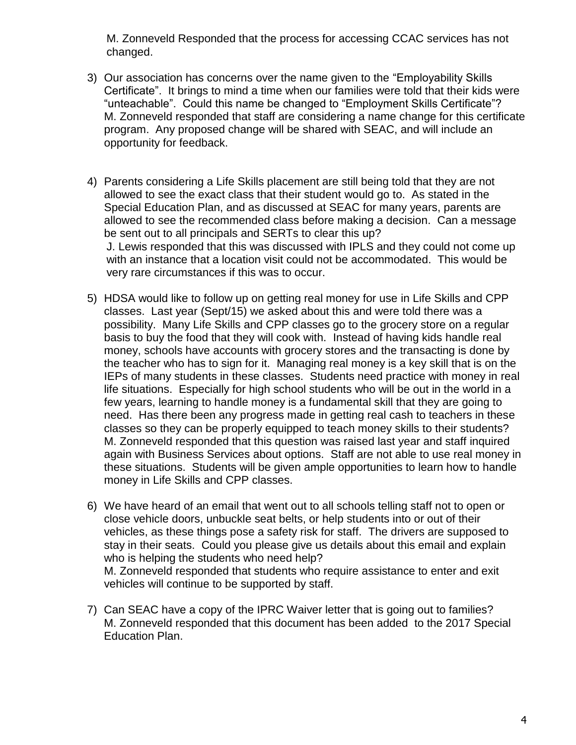M. Zonneveld Responded that the process for accessing CCAC services has not changed.

- 3) Our association has concerns over the name given to the "Employability Skills Certificate". It brings to mind a time when our families were told that their kids were "unteachable". Could this name be changed to "Employment Skills Certificate"? M. Zonneveld responded that staff are considering a name change for this certificate program. Any proposed change will be shared with SEAC, and will include an opportunity for feedback.
- 4) Parents considering a Life Skills placement are still being told that they are not allowed to see the exact class that their student would go to. As stated in the Special Education Plan, and as discussed at SEAC for many years, parents are allowed to see the recommended class before making a decision. Can a message be sent out to all principals and SERTs to clear this up? J. Lewis responded that this was discussed with IPLS and they could not come up with an instance that a location visit could not be accommodated. This would be very rare circumstances if this was to occur.
- 5) HDSA would like to follow up on getting real money for use in Life Skills and CPP classes. Last year (Sept/15) we asked about this and were told there was a possibility. Many Life Skills and CPP classes go to the grocery store on a regular basis to buy the food that they will cook with. Instead of having kids handle real money, schools have accounts with grocery stores and the transacting is done by the teacher who has to sign for it. Managing real money is a key skill that is on the IEPs of many students in these classes. Students need practice with money in real life situations. Especially for high school students who will be out in the world in a few years, learning to handle money is a fundamental skill that they are going to need. Has there been any progress made in getting real cash to teachers in these classes so they can be properly equipped to teach money skills to their students? M. Zonneveld responded that this question was raised last year and staff inquired again with Business Services about options. Staff are not able to use real money in these situations. Students will be given ample opportunities to learn how to handle money in Life Skills and CPP classes.
- 6) We have heard of an email that went out to all schools telling staff not to open or close vehicle doors, unbuckle seat belts, or help students into or out of their vehicles, as these things pose a safety risk for staff. The drivers are supposed to stay in their seats. Could you please give us details about this email and explain who is helping the students who need help? M. Zonneveld responded that students who require assistance to enter and exit vehicles will continue to be supported by staff.
- 7) Can SEAC have a copy of the IPRC Waiver letter that is going out to families? M. Zonneveld responded that this document has been added to the 2017 Special Education Plan.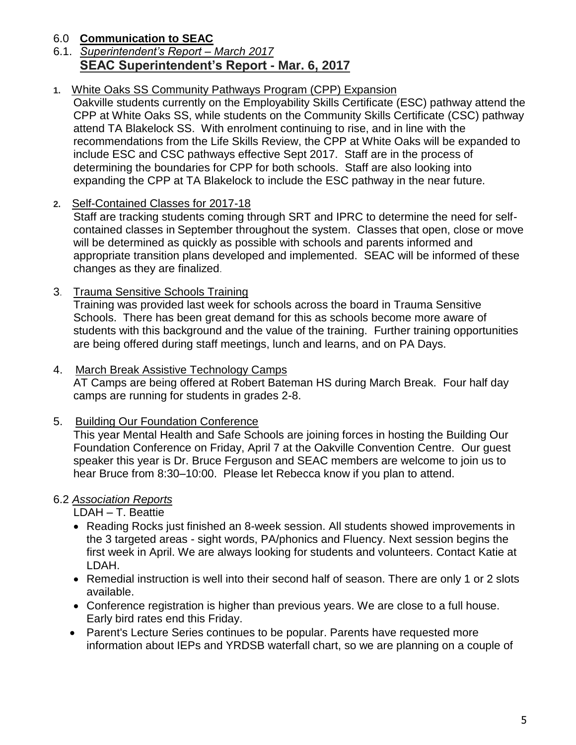# 6.0 **Communication to SEAC**

6.1. *Superintendent's Report – March 2017* **SEAC Superintendent's Report - Mar. 6, 2017**

## **1.** White Oaks SS Community Pathways Program (CPP) Expansion

Oakville students currently on the Employability Skills Certificate (ESC) pathway attend the CPP at White Oaks SS, while students on the Community Skills Certificate (CSC) pathway attend TA Blakelock SS. With enrolment continuing to rise, and in line with the recommendations from the Life Skills Review, the CPP at White Oaks will be expanded to include ESC and CSC pathways effective Sept 2017. Staff are in the process of determining the boundaries for CPP for both schools. Staff are also looking into expanding the CPP at TA Blakelock to include the ESC pathway in the near future.

### **2.** Self-Contained Classes for 2017-18

Staff are tracking students coming through SRT and IPRC to determine the need for selfcontained classes in September throughout the system. Classes that open, close or move will be determined as quickly as possible with schools and parents informed and appropriate transition plans developed and implemented. SEAC will be informed of these changes as they are finalized.

### 3. Trauma Sensitive Schools Training

Training was provided last week for schools across the board in Trauma Sensitive Schools. There has been great demand for this as schools become more aware of students with this background and the value of the training. Further training opportunities are being offered during staff meetings, lunch and learns, and on PA Days.

#### 4. March Break Assistive Technology Camps

AT Camps are being offered at Robert Bateman HS during March Break. Four half day camps are running for students in grades 2-8.

### 5. Building Our Foundation Conference

This year Mental Health and Safe Schools are joining forces in hosting the Building Our Foundation Conference on Friday, April 7 at the Oakville Convention Centre. Our guest speaker this year is Dr. Bruce Ferguson and SEAC members are welcome to join us to hear Bruce from 8:30–10:00. Please let Rebecca know if you plan to attend.

### 6.2 *Association Reports*

LDAH – T. Beattie

- Reading Rocks just finished an 8-week session. All students showed improvements in the 3 targeted areas - sight words, PA/phonics and Fluency. Next session begins the first week in April. We are always looking for students and volunteers. Contact Katie at LDAH.
- Remedial instruction is well into their second half of season. There are only 1 or 2 slots available.
- Conference registration is higher than previous years. We are close to a full house. Early bird rates end this Friday.
- Parent's Lecture Series continues to be popular. Parents have requested more information about IEPs and YRDSB waterfall chart, so we are planning on a couple of